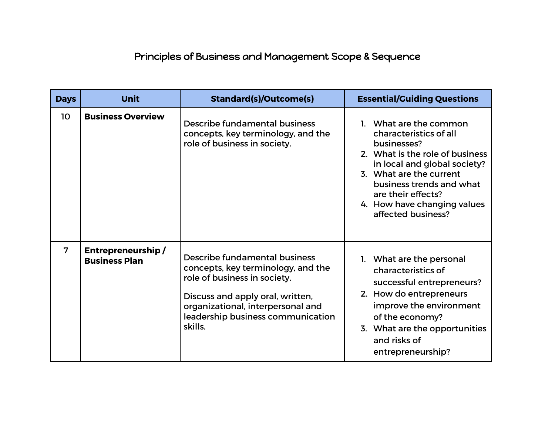## Principles of Business and Management Scope & Sequence

| <b>Days</b>    | <b>Unit</b>                               | <b>Standard(s)/Outcome(s)</b>                                                                                                                                                                                                | <b>Essential/Guiding Questions</b>                                                                                                                                                                                                                                   |
|----------------|-------------------------------------------|------------------------------------------------------------------------------------------------------------------------------------------------------------------------------------------------------------------------------|----------------------------------------------------------------------------------------------------------------------------------------------------------------------------------------------------------------------------------------------------------------------|
| 10             | <b>Business Overview</b>                  | Describe fundamental business<br>concepts, key terminology, and the<br>role of business in society.                                                                                                                          | 1. What are the common<br>characteristics of all<br>businesses?<br>2. What is the role of business<br>in local and global society?<br>3. What are the current<br>business trends and what<br>are their effects?<br>4. How have changing values<br>affected business? |
| $\overline{7}$ | Entrepreneurship/<br><b>Business Plan</b> | Describe fundamental business<br>concepts, key terminology, and the<br>role of business in society.<br>Discuss and apply oral, written,<br>organizational, interpersonal and<br>leadership business communication<br>skills. | 1. What are the personal<br>characteristics of<br>successful entrepreneurs?<br>2. How do entrepreneurs<br>improve the environment<br>of the economy?<br>3. What are the opportunities<br>and risks of<br>entrepreneurship?                                           |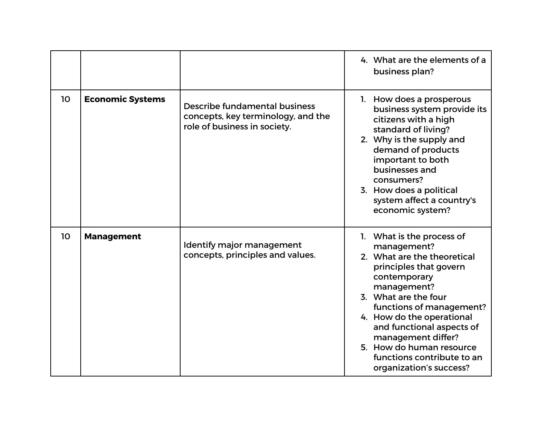|                 |                         |                                                                                                     | 4. What are the elements of a<br>business plan?                                                                                                                                                                                                                                                                                                           |
|-----------------|-------------------------|-----------------------------------------------------------------------------------------------------|-----------------------------------------------------------------------------------------------------------------------------------------------------------------------------------------------------------------------------------------------------------------------------------------------------------------------------------------------------------|
| 10              | <b>Economic Systems</b> | Describe fundamental business<br>concepts, key terminology, and the<br>role of business in society. | 1. How does a prosperous<br>business system provide its<br>citizens with a high<br>standard of living?<br>2. Why is the supply and<br>demand of products<br>important to both<br>businesses and<br>consumers?<br>3. How does a political<br>system affect a country's<br>economic system?                                                                 |
| 10 <sub>o</sub> | <b>Management</b>       | Identify major management<br>concepts, principles and values.                                       | 1. What is the process of<br>management?<br>2. What are the theoretical<br>principles that govern<br>contemporary<br>management?<br>3. What are the four<br>functions of management?<br>4. How do the operational<br>and functional aspects of<br>management differ?<br>5. How do human resource<br>functions contribute to an<br>organization's success? |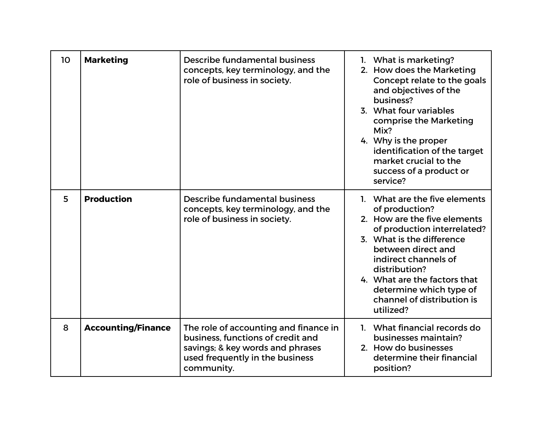| 10 | <b>Marketing</b>          | Describe fundamental business<br>concepts, key terminology, and the<br>role of business in society.                                                             | 1. What is marketing?<br>2. How does the Marketing<br>Concept relate to the goals<br>and objectives of the<br>business?<br>3. What four variables<br>comprise the Marketing<br>Mix?<br>4. Why is the proper<br>identification of the target<br>market crucial to the<br>success of a product or<br>service?      |
|----|---------------------------|-----------------------------------------------------------------------------------------------------------------------------------------------------------------|------------------------------------------------------------------------------------------------------------------------------------------------------------------------------------------------------------------------------------------------------------------------------------------------------------------|
| 5  | <b>Production</b>         | Describe fundamental business<br>concepts, key terminology, and the<br>role of business in society.                                                             | 1. What are the five elements<br>of production?<br>2. How are the five elements<br>of production interrelated?<br>3. What is the difference<br>between direct and<br>indirect channels of<br>distribution?<br>4. What are the factors that<br>determine which type of<br>channel of distribution is<br>utilized? |
| 8  | <b>Accounting/Finance</b> | The role of accounting and finance in<br>business, functions of credit and<br>savings; & key words and phrases<br>used frequently in the business<br>community. | 1. What financial records do<br>businesses maintain?<br>2. How do businesses<br>determine their financial<br>position?                                                                                                                                                                                           |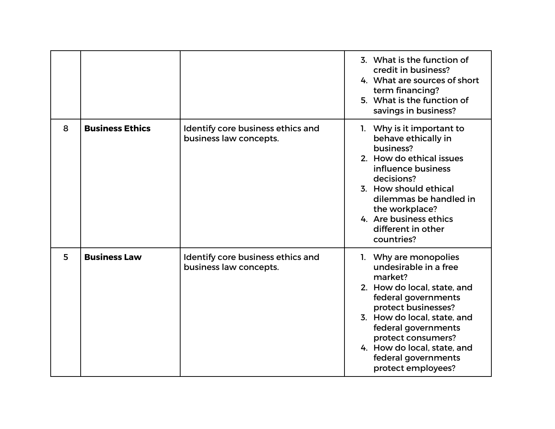|   |                        |                                                             | 3. What is the function of<br>credit in business?<br>4. What are sources of short<br>term financing?<br>5. What is the function of<br>savings in business?                                                                                                                                     |
|---|------------------------|-------------------------------------------------------------|------------------------------------------------------------------------------------------------------------------------------------------------------------------------------------------------------------------------------------------------------------------------------------------------|
| 8 | <b>Business Ethics</b> | Identify core business ethics and<br>business law concepts. | 1. Why is it important to<br>behave ethically in<br>business?<br>2. How do ethical issues<br>influence business<br>decisions?<br>3. How should ethical<br>dilemmas be handled in<br>the workplace?<br>4. Are business ethics<br>different in other<br>countries?                               |
| 5 | <b>Business Law</b>    | Identify core business ethics and<br>business law concepts. | 1. Why are monopolies<br>undesirable in a free<br>market?<br>2. How do local, state, and<br>federal governments<br>protect businesses?<br>3. How do local, state, and<br>federal governments<br>protect consumers?<br>4. How do local, state, and<br>federal governments<br>protect employees? |